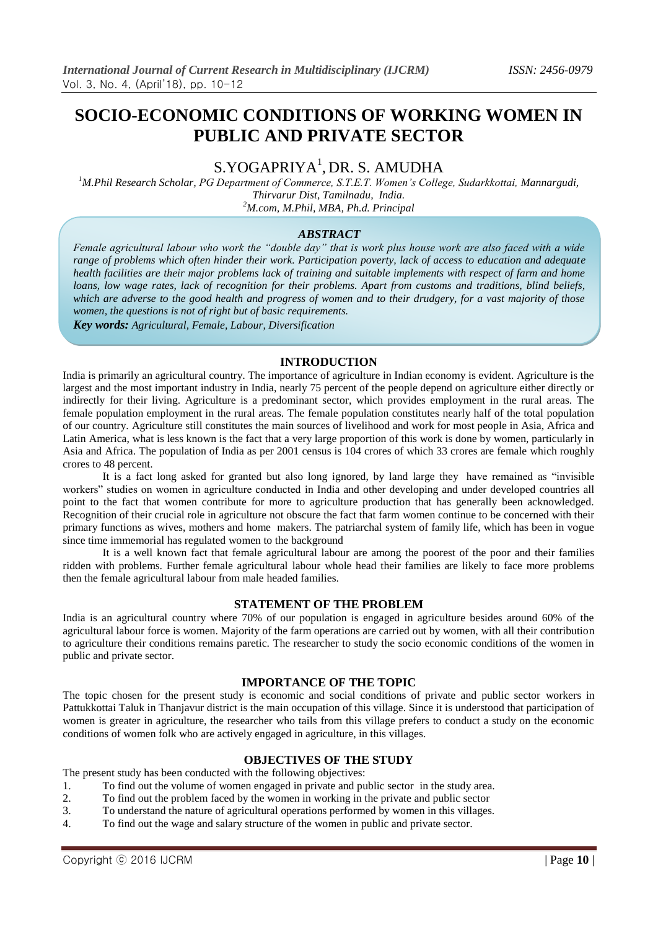# **SOCIO-ECONOMIC CONDITIONS OF WORKING WOMEN IN PUBLIC AND PRIVATE SECTOR**

# S.YOGAPRIYA<sup>1</sup>, DR. S. AMUDHA

*<sup>1</sup>M.Phil Research Scholar, PG Department of Commerce, S.T.E.T. Women's College, Sudarkkottai, Mannargudi, Thirvarur Dist, Tamilnadu, India. <sup>2</sup>M.com, M.Phil, MBA, Ph.d. Principal*

# *ABSTRACT*

*Female agricultural labour who work the "double day" that is work plus house work are also faced with a wide range of problems which often hinder their work. Participation poverty, lack of access to education and adequate health facilities are their major problems lack of training and suitable implements with respect of farm and home loans, low wage rates, lack of recognition for their problems. Apart from customs and traditions, blind beliefs, which are adverse to the good health and progress of women and to their drudgery, for a vast majority of those women, the questions is not of right but of basic requirements. Key words: Agricultural, Female, Labour, Diversification*

**INTRODUCTION**

India is primarily an agricultural country. The importance of agriculture in Indian economy is evident. Agriculture is the largest and the most important industry in India, nearly 75 percent of the people depend on agriculture either directly or indirectly for their living. Agriculture is a predominant sector, which provides employment in the rural areas. The female population employment in the rural areas. The female population constitutes nearly half of the total population of our country. Agriculture still constitutes the main sources of livelihood and work for most people in Asia, Africa and Latin America, what is less known is the fact that a very large proportion of this work is done by women, particularly in Asia and Africa. The population of India as per 2001 census is 104 crores of which 33 crores are female which roughly crores to 48 percent.

It is a fact long asked for granted but also long ignored, by land large they have remained as "invisible workers" studies on women in agriculture conducted in India and other developing and under developed countries all point to the fact that women contribute for more to agriculture production that has generally been acknowledged. Recognition of their crucial role in agriculture not obscure the fact that farm women continue to be concerned with their primary functions as wives, mothers and home makers. The patriarchal system of family life, which has been in vogue since time immemorial has regulated women to the background

It is a well known fact that female agricultural labour are among the poorest of the poor and their families ridden with problems. Further female agricultural labour whole head their families are likely to face more problems then the female agricultural labour from male headed families.

### **STATEMENT OF THE PROBLEM**

India is an agricultural country where 70% of our population is engaged in agriculture besides around 60% of the agricultural labour force is women. Majority of the farm operations are carried out by women, with all their contribution to agriculture their conditions remains paretic. The researcher to study the socio economic conditions of the women in public and private sector.

# **IMPORTANCE OF THE TOPIC**

The topic chosen for the present study is economic and social conditions of private and public sector workers in Pattukkottai Taluk in Thanjavur district is the main occupation of this village. Since it is understood that participation of women is greater in agriculture, the researcher who tails from this village prefers to conduct a study on the economic conditions of women folk who are actively engaged in agriculture, in this villages.

### **OBJECTIVES OF THE STUDY**

The present study has been conducted with the following objectives:

- 1. To find out the volume of women engaged in private and public sector in the study area.
- 2. To find out the problem faced by the women in working in the private and public sector
- 3. To understand the nature of agricultural operations performed by women in this villages.
- 4. To find out the wage and salary structure of the women in public and private sector.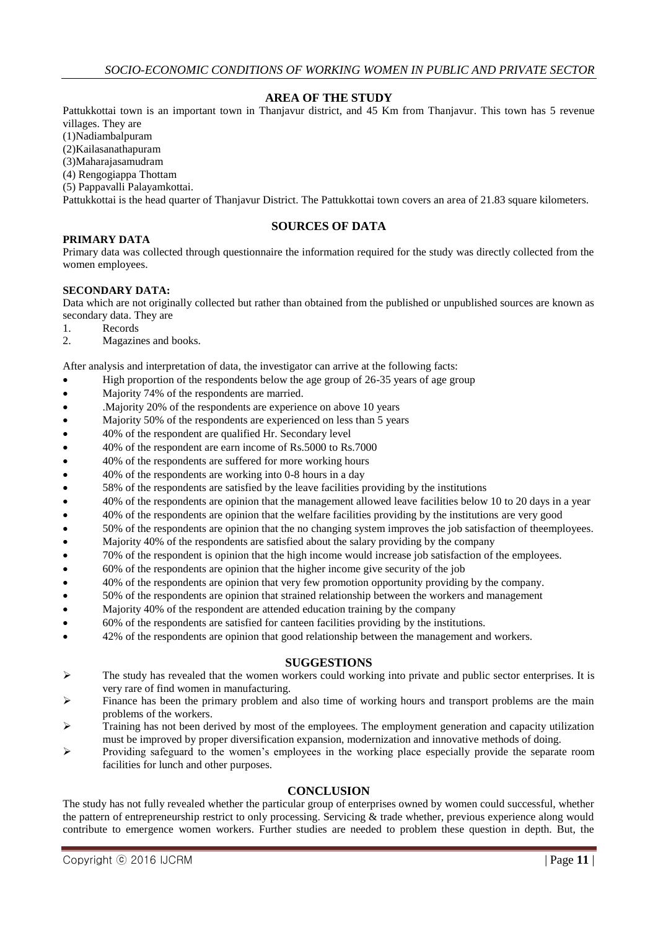# **AREA OF THE STUDY**

Pattukkottai town is an important town in Thanjavur district, and 45 Km from Thanjavur. This town has 5 revenue villages. They are

(1)Nadiambalpuram

(2)Kailasanathapuram

(3)Maharajasamudram

(4) Rengogiappa Thottam

(5) Pappavalli Palayamkottai.

Pattukkottai is the head quarter of Thanjavur District. The Pattukkottai town covers an area of 21.83 square kilometers.

# **SOURCES OF DATA**

## **PRIMARY DATA**

Primary data was collected through questionnaire the information required for the study was directly collected from the women employees.

## **SECONDARY DATA:**

Data which are not originally collected but rather than obtained from the published or unpublished sources are known as secondary data. They are

- 1. Records
- 2. Magazines and books.

After analysis and interpretation of data, the investigator can arrive at the following facts:

- High proportion of the respondents below the age group of 26-35 years of age group
- Majority 74% of the respondents are married.
- .Majority 20% of the respondents are experience on above 10 years
- Majority 50% of the respondents are experienced on less than 5 years
- 40% of the respondent are qualified Hr. Secondary level
- 40% of the respondent are earn income of Rs.5000 to Rs.7000
- 40% of the respondents are suffered for more working hours
- 40% of the respondents are working into 0-8 hours in a day
- 58% of the respondents are satisfied by the leave facilities providing by the institutions
- 40% of the respondents are opinion that the management allowed leave facilities below 10 to 20 days in a year
- <sup>4</sup> 40% of the respondents are opinion that the welfare facilities providing by the institutions are very good
- 50% of the respondents are opinion that the no changing system improves the job satisfaction of theemployees.
- Majority 40% of the respondents are satisfied about the salary providing by the company
- 70% of the respondent is opinion that the high income would increase job satisfaction of the employees.
- 60% of the respondents are opinion that the higher income give security of the job
- 40% of the respondents are opinion that very few promotion opportunity providing by the company.
- 50% of the respondents are opinion that strained relationship between the workers and management
- Majority 40% of the respondent are attended education training by the company
- 60% of the respondents are satisfied for canteen facilities providing by the institutions.
- 42% of the respondents are opinion that good relationship between the management and workers.

# **SUGGESTIONS**

- $\triangleright$  The study has revealed that the women workers could working into private and public sector enterprises. It is very rare of find women in manufacturing.
- $\triangleright$  Finance has been the primary problem and also time of working hours and transport problems are the main problems of the workers.
- $\triangleright$  Training has not been derived by most of the employees. The employment generation and capacity utilization must be improved by proper diversification expansion, modernization and innovative methods of doing.
- $\triangleright$  Providing safeguard to the women's employees in the working place especially provide the separate room facilities for lunch and other purposes.

# **CONCLUSION**

The study has not fully revealed whether the particular group of enterprises owned by women could successful, whether the pattern of entrepreneurship restrict to only processing. Servicing & trade whether, previous experience along would contribute to emergence women workers. Further studies are needed to problem these question in depth. But, the